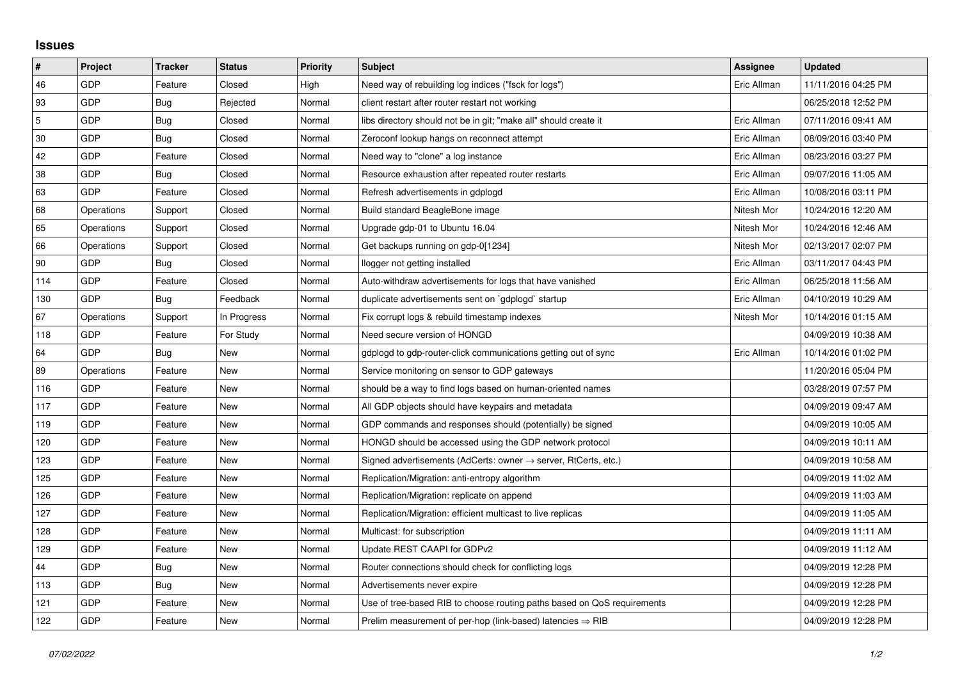## **Issues**

| $\vert$ #      | Project    | <b>Tracker</b> | <b>Status</b> | <b>Priority</b> | <b>Subject</b>                                                             | Assignee    | <b>Updated</b>      |
|----------------|------------|----------------|---------------|-----------------|----------------------------------------------------------------------------|-------------|---------------------|
| 46             | GDP        | Feature        | Closed        | High            | Need way of rebuilding log indices ("fsck for logs")                       | Eric Allman | 11/11/2016 04:25 PM |
| 93             | GDP        | Bug            | Rejected      | Normal          | client restart after router restart not working                            |             | 06/25/2018 12:52 PM |
| $\overline{5}$ | GDP        | Bug            | Closed        | Normal          | libs directory should not be in git; "make all" should create it           | Eric Allman | 07/11/2016 09:41 AM |
| 30             | GDP        | Bug            | Closed        | Normal          | Zeroconf lookup hangs on reconnect attempt                                 | Eric Allman | 08/09/2016 03:40 PM |
| 42             | GDP        | Feature        | Closed        | Normal          | Need way to "clone" a log instance                                         | Eric Allman | 08/23/2016 03:27 PM |
| 38             | GDP        | Bug            | Closed        | Normal          | Resource exhaustion after repeated router restarts                         | Eric Allman | 09/07/2016 11:05 AM |
| 63             | GDP        | Feature        | Closed        | Normal          | Refresh advertisements in gdplogd                                          | Eric Allman | 10/08/2016 03:11 PM |
| 68             | Operations | Support        | Closed        | Normal          | Build standard BeagleBone image                                            | Nitesh Mor  | 10/24/2016 12:20 AM |
| 65             | Operations | Support        | Closed        | Normal          | Upgrade gdp-01 to Ubuntu 16.04                                             | Nitesh Mor  | 10/24/2016 12:46 AM |
| 66             | Operations | Support        | Closed        | Normal          | Get backups running on gdp-0[1234]                                         | Nitesh Mor  | 02/13/2017 02:07 PM |
| 90             | GDP        | Bug            | Closed        | Normal          | llogger not getting installed                                              | Eric Allman | 03/11/2017 04:43 PM |
| 114            | GDP        | Feature        | Closed        | Normal          | Auto-withdraw advertisements for logs that have vanished                   | Eric Allman | 06/25/2018 11:56 AM |
| 130            | GDP        | Bug            | Feedback      | Normal          | duplicate advertisements sent on `gdplogd` startup                         | Eric Allman | 04/10/2019 10:29 AM |
| 67             | Operations | Support        | In Progress   | Normal          | Fix corrupt logs & rebuild timestamp indexes                               | Nitesh Mor  | 10/14/2016 01:15 AM |
| 118            | GDP        | Feature        | For Study     | Normal          | Need secure version of HONGD                                               |             | 04/09/2019 10:38 AM |
| 64             | GDP        | Bug            | New           | Normal          | gdplogd to gdp-router-click communications getting out of sync             | Eric Allman | 10/14/2016 01:02 PM |
| 89             | Operations | Feature        | New           | Normal          | Service monitoring on sensor to GDP gateways                               |             | 11/20/2016 05:04 PM |
| 116            | GDP        | Feature        | New           | Normal          | should be a way to find logs based on human-oriented names                 |             | 03/28/2019 07:57 PM |
| 117            | GDP        | Feature        | New           | Normal          | All GDP objects should have keypairs and metadata                          |             | 04/09/2019 09:47 AM |
| 119            | GDP        | Feature        | New           | Normal          | GDP commands and responses should (potentially) be signed                  |             | 04/09/2019 10:05 AM |
| 120            | GDP        | Feature        | New           | Normal          | HONGD should be accessed using the GDP network protocol                    |             | 04/09/2019 10:11 AM |
| 123            | GDP        | Feature        | New           | Normal          | Signed advertisements (AdCerts: owner $\rightarrow$ server, RtCerts, etc.) |             | 04/09/2019 10:58 AM |
| 125            | GDP        | Feature        | New           | Normal          | Replication/Migration: anti-entropy algorithm                              |             | 04/09/2019 11:02 AM |
| 126            | GDP        | Feature        | New           | Normal          | Replication/Migration: replicate on append                                 |             | 04/09/2019 11:03 AM |
| 127            | GDP        | Feature        | New           | Normal          | Replication/Migration: efficient multicast to live replicas                |             | 04/09/2019 11:05 AM |
| 128            | GDP        | Feature        | New           | Normal          | Multicast: for subscription                                                |             | 04/09/2019 11:11 AM |
| 129            | GDP        | Feature        | New           | Normal          | Update REST CAAPI for GDPv2                                                |             | 04/09/2019 11:12 AM |
| 44             | GDP        | Bug            | New           | Normal          | Router connections should check for conflicting logs                       |             | 04/09/2019 12:28 PM |
| 113            | GDP        | Bug            | New           | Normal          | Advertisements never expire                                                |             | 04/09/2019 12:28 PM |
| 121            | GDP        | Feature        | New           | Normal          | Use of tree-based RIB to choose routing paths based on QoS requirements    |             | 04/09/2019 12:28 PM |
| 122            | GDP        | Feature        | <b>New</b>    | Normal          | Prelim measurement of per-hop (link-based) latencies $\Rightarrow$ RIB     |             | 04/09/2019 12:28 PM |